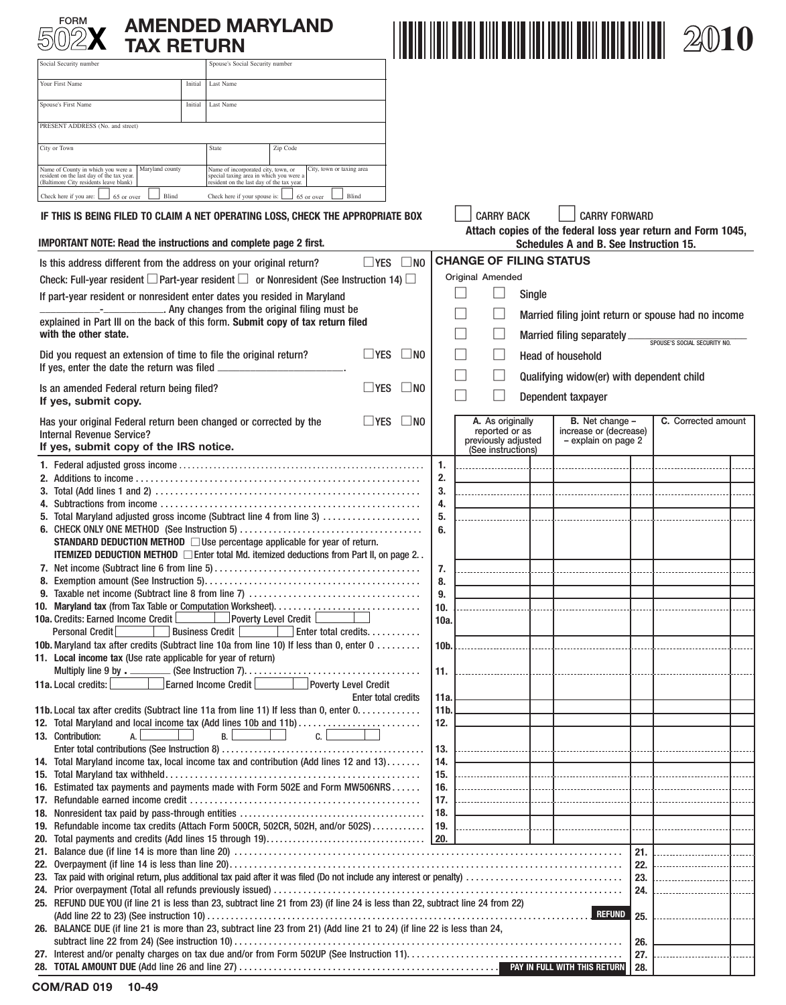| FORM                                                                                                                                            | <b>TAX RETURN</b>   |                                                                                                                             | <b>AMENDED MARYLAND</b>                                                                                                                                                           |                            |                   |             |                                                                                 |                   |                                                                                                        |            |                                                                                                                                                     |  |
|-------------------------------------------------------------------------------------------------------------------------------------------------|---------------------|-----------------------------------------------------------------------------------------------------------------------------|-----------------------------------------------------------------------------------------------------------------------------------------------------------------------------------|----------------------------|-------------------|-------------|---------------------------------------------------------------------------------|-------------------|--------------------------------------------------------------------------------------------------------|------------|-----------------------------------------------------------------------------------------------------------------------------------------------------|--|
| Social Security number                                                                                                                          |                     | Spouse's Social Security number                                                                                             |                                                                                                                                                                                   |                            |                   |             |                                                                                 |                   |                                                                                                        |            |                                                                                                                                                     |  |
| Your First Name                                                                                                                                 | Initial             | Last Name                                                                                                                   |                                                                                                                                                                                   |                            |                   |             |                                                                                 |                   |                                                                                                        |            |                                                                                                                                                     |  |
| Spouse's First Name                                                                                                                             |                     | Last Name<br>Initial                                                                                                        |                                                                                                                                                                                   |                            |                   |             |                                                                                 |                   |                                                                                                        |            |                                                                                                                                                     |  |
| PRESENT ADDRESS (No. and street)                                                                                                                |                     |                                                                                                                             |                                                                                                                                                                                   |                            |                   |             |                                                                                 |                   |                                                                                                        |            |                                                                                                                                                     |  |
|                                                                                                                                                 |                     |                                                                                                                             |                                                                                                                                                                                   |                            |                   |             |                                                                                 |                   |                                                                                                        |            |                                                                                                                                                     |  |
| City or Town                                                                                                                                    |                     | State                                                                                                                       | Zip Code                                                                                                                                                                          |                            |                   |             |                                                                                 |                   |                                                                                                        |            |                                                                                                                                                     |  |
| Name of County in which you were a<br>resident on the last day of the tax year.<br>Baltimore City residents leave blank)                        | Maryland county     | Name of incorporated city, town, or<br>special taxing area in which you were a<br>resident on the last day of the tax year. | City, town or taxing area                                                                                                                                                         |                            |                   |             |                                                                                 |                   |                                                                                                        |            |                                                                                                                                                     |  |
| Check here if you are:                                                                                                                          | Blind<br>65 or over | Check here if your spouse is:                                                                                               | 65 or over                                                                                                                                                                        | Blind                      |                   |             |                                                                                 |                   |                                                                                                        |            |                                                                                                                                                     |  |
| IF THIS IS BEING FILED TO CLAIM A NET OPERATING LOSS, CHECK THE APPROPRIATE BOX                                                                 |                     |                                                                                                                             |                                                                                                                                                                                   |                            |                   |             | <b>CARRY BACK</b>                                                               |                   | <b>CARRY FORWARD</b>                                                                                   |            |                                                                                                                                                     |  |
| <b>IMPORTANT NOTE: Read the instructions and complete page 2 first.</b>                                                                         |                     |                                                                                                                             |                                                                                                                                                                                   |                            |                   |             |                                                                                 |                   | Attach copies of the federal loss year return and Form 1045,<br>Schedules A and B. See Instruction 15. |            |                                                                                                                                                     |  |
| Is this address different from the address on your original return?                                                                             |                     |                                                                                                                             |                                                                                                                                                                                   | $\Box$ YES                 | $\square$ NO      |             | <b>CHANGE OF FILING STATUS</b>                                                  |                   |                                                                                                        |            |                                                                                                                                                     |  |
| Check: Full-year resident $\square$ Part-year resident $\square$ or Nonresident (See Instruction 14) $\square$                                  |                     |                                                                                                                             |                                                                                                                                                                                   |                            |                   |             | Original Amended                                                                |                   |                                                                                                        |            |                                                                                                                                                     |  |
| If part-year resident or nonresident enter dates you resided in Maryland                                                                        |                     |                                                                                                                             |                                                                                                                                                                                   |                            |                   |             |                                                                                 | Single            |                                                                                                        |            |                                                                                                                                                     |  |
| explained in Part III on the back of this form. Submit copy of tax return filed                                                                 |                     |                                                                                                                             | . Any changes from the original filing must be                                                                                                                                    |                            |                   |             |                                                                                 |                   | Married filing joint return or spouse had no income                                                    |            |                                                                                                                                                     |  |
| with the other state.                                                                                                                           |                     |                                                                                                                             |                                                                                                                                                                                   |                            |                   |             |                                                                                 |                   | Married filing separately_                                                                             |            | SPOUSE'S SOCIAL SECURITY NO.                                                                                                                        |  |
| Did you request an extension of time to file the original return?                                                                               |                     |                                                                                                                             |                                                                                                                                                                                   | l Yes                      | $\blacksquare$ NO |             |                                                                                 |                   | <b>Head of household</b>                                                                               |            |                                                                                                                                                     |  |
| If yes, enter the date the return was filed.                                                                                                    |                     |                                                                                                                             |                                                                                                                                                                                   |                            |                   |             |                                                                                 |                   |                                                                                                        |            |                                                                                                                                                     |  |
| Is an amended Federal return being filed?                                                                                                       |                     |                                                                                                                             |                                                                                                                                                                                   | $\square$ YES              | $\Box$ No         |             |                                                                                 |                   | Qualifying widow(er) with dependent child                                                              |            |                                                                                                                                                     |  |
| If yes, submit copy.                                                                                                                            |                     |                                                                                                                             |                                                                                                                                                                                   |                            |                   |             |                                                                                 |                   | Dependent taxpayer                                                                                     |            |                                                                                                                                                     |  |
| Has your original Federal return been changed or corrected by the<br><b>Internal Revenue Service?</b><br>If yes, submit copy of the IRS notice. |                     |                                                                                                                             |                                                                                                                                                                                   | $\Box$ YES                 | $\Box$ No         |             | A. As originally<br>reported or as<br>previously adjusted<br>(See instructions) |                   | <b>B.</b> Net change -<br>increase or (decrease)<br>- explain on page 2                                |            | C. Corrected amount                                                                                                                                 |  |
|                                                                                                                                                 |                     |                                                                                                                             |                                                                                                                                                                                   |                            |                   | 1.          |                                                                                 |                   |                                                                                                        |            |                                                                                                                                                     |  |
|                                                                                                                                                 |                     |                                                                                                                             |                                                                                                                                                                                   |                            |                   | 2.          |                                                                                 |                   |                                                                                                        |            |                                                                                                                                                     |  |
|                                                                                                                                                 |                     |                                                                                                                             |                                                                                                                                                                                   |                            |                   | 3.          |                                                                                 |                   |                                                                                                        |            |                                                                                                                                                     |  |
| 5. Total Maryland adjusted gross income (Subtract line 4 from line 3)                                                                           |                     |                                                                                                                             |                                                                                                                                                                                   |                            |                   | 4.          |                                                                                 |                   |                                                                                                        |            |                                                                                                                                                     |  |
|                                                                                                                                                 |                     |                                                                                                                             |                                                                                                                                                                                   |                            |                   | 5.<br>6.    |                                                                                 |                   |                                                                                                        |            |                                                                                                                                                     |  |
|                                                                                                                                                 |                     |                                                                                                                             | STANDARD DEDUCTION METHOD □ Use percentage applicable for year of return.<br><b>ITEMIZED DEDUCTION METHOD</b> $\Box$ Enter total Md. itemized deductions from Part II, on page 2. |                            |                   |             |                                                                                 |                   |                                                                                                        |            |                                                                                                                                                     |  |
|                                                                                                                                                 |                     |                                                                                                                             |                                                                                                                                                                                   |                            |                   | 7.          |                                                                                 |                   |                                                                                                        |            |                                                                                                                                                     |  |
|                                                                                                                                                 |                     |                                                                                                                             |                                                                                                                                                                                   |                            |                   | 8.          |                                                                                 |                   |                                                                                                        |            |                                                                                                                                                     |  |
|                                                                                                                                                 |                     |                                                                                                                             |                                                                                                                                                                                   |                            |                   | 9.          |                                                                                 |                   |                                                                                                        |            |                                                                                                                                                     |  |
| 10a. Credits: Earned Income Credit                                                                                                              |                     |                                                                                                                             | Poverty Level Credit                                                                                                                                                              |                            |                   | 10.<br>10a. |                                                                                 |                   |                                                                                                        |            |                                                                                                                                                     |  |
| Personal Credit                                                                                                                                 |                     | Business Credit<br><b>Contract Contract</b>                                                                                 | Enter total credits.                                                                                                                                                              |                            |                   |             |                                                                                 |                   |                                                                                                        |            |                                                                                                                                                     |  |
| 10b. Maryland tax after credits (Subtract line 10a from line 10) If less than 0, enter 0                                                        |                     |                                                                                                                             |                                                                                                                                                                                   |                            |                   | 10b.        | . 1                                                                             | <b>Contractor</b> |                                                                                                        |            |                                                                                                                                                     |  |
| 11. Local income tax (Use rate applicable for year of return)                                                                                   |                     |                                                                                                                             |                                                                                                                                                                                   |                            |                   |             |                                                                                 |                   |                                                                                                        |            |                                                                                                                                                     |  |
| 11a. Local credits:                                                                                                                             |                     | Earned Income Credit                                                                                                        |                                                                                                                                                                                   | Poverty Level Credit       |                   | 11.         |                                                                                 |                   |                                                                                                        |            |                                                                                                                                                     |  |
|                                                                                                                                                 |                     |                                                                                                                             |                                                                                                                                                                                   | <b>Enter total credits</b> |                   | 11a         |                                                                                 |                   |                                                                                                        |            |                                                                                                                                                     |  |
| 11b. Local tax after credits (Subtract line 11a from line 11) If less than 0, enter $0, \ldots, \ldots, \ldots$                                 |                     |                                                                                                                             |                                                                                                                                                                                   |                            |                   | 11b.        |                                                                                 |                   |                                                                                                        |            |                                                                                                                                                     |  |
| 12. Total Maryland and local income tax (Add lines 10b and 11b)                                                                                 | A.                  | <b>B.</b>                                                                                                                   | c.                                                                                                                                                                                |                            |                   | 12.         |                                                                                 |                   |                                                                                                        |            |                                                                                                                                                     |  |
| 13. Contribution:                                                                                                                               |                     |                                                                                                                             |                                                                                                                                                                                   |                            |                   | 13.         |                                                                                 | .                 |                                                                                                        |            |                                                                                                                                                     |  |
| 14. Total Maryland income tax, local income tax and contribution (Add lines 12 and 13)                                                          |                     |                                                                                                                             |                                                                                                                                                                                   |                            |                   | 14.         |                                                                                 |                   |                                                                                                        |            |                                                                                                                                                     |  |
|                                                                                                                                                 |                     |                                                                                                                             |                                                                                                                                                                                   |                            |                   | 15.         |                                                                                 |                   |                                                                                                        | .          | ----------------------                                                                                                                              |  |
| 16. Estimated tax payments and payments made with Form 502E and Form MW506NRS                                                                   |                     |                                                                                                                             |                                                                                                                                                                                   |                            |                   | 16.         | ------------- <b>-1.</b> ------1                                                |                   |                                                                                                        |            |                                                                                                                                                     |  |
|                                                                                                                                                 |                     |                                                                                                                             |                                                                                                                                                                                   |                            |                   | 17.<br>18.  |                                                                                 |                   |                                                                                                        |            |                                                                                                                                                     |  |
| 19. Refundable income tax credits (Attach Form 500CR, 502CR, 502H, and/or 502S)  19.                                                            |                     |                                                                                                                             |                                                                                                                                                                                   |                            |                   |             |                                                                                 |                   |                                                                                                        | .          |                                                                                                                                                     |  |
|                                                                                                                                                 |                     |                                                                                                                             |                                                                                                                                                                                   |                            |                   |             |                                                                                 |                   |                                                                                                        |            |                                                                                                                                                     |  |
|                                                                                                                                                 |                     |                                                                                                                             |                                                                                                                                                                                   |                            |                   |             |                                                                                 |                   |                                                                                                        | 21.        |                                                                                                                                                     |  |
|                                                                                                                                                 |                     |                                                                                                                             |                                                                                                                                                                                   |                            |                   |             |                                                                                 |                   |                                                                                                        | 22.<br>23. | <u> 1980 - Januar James Januar 1980 - Januar 1980 - Januar 1980 - Januar 1980 - Januar 1980 - Januar 1980 - Januar 19</u><br>---------------------- |  |
|                                                                                                                                                 |                     |                                                                                                                             |                                                                                                                                                                                   |                            |                   |             |                                                                                 |                   |                                                                                                        | 24.        |                                                                                                                                                     |  |
| 25. REFUND DUE YOU (if line 21 is less than 23, subtract line 21 from 23) (if line 24 is less than 22, subtract line 24 from 22)                |                     |                                                                                                                             |                                                                                                                                                                                   |                            |                   |             |                                                                                 |                   |                                                                                                        |            |                                                                                                                                                     |  |
|                                                                                                                                                 |                     |                                                                                                                             |                                                                                                                                                                                   |                            |                   |             |                                                                                 |                   | <b>REFUND</b>                                                                                          | 25.        |                                                                                                                                                     |  |
| 26. BALANCE DUE (if line 21 is more than 23, subtract line 23 from 21) (Add line 21 to 24) (if line 22 is less than 24,                         |                     |                                                                                                                             |                                                                                                                                                                                   |                            |                   |             |                                                                                 |                   |                                                                                                        |            |                                                                                                                                                     |  |

 **28. TOTAL AMOUNT DUE** (Add line 26 and line 27) . . . . . . . . . . . . . . . . . . . . . . . . . . . . . . . . . . . . . . . . . . . . . . . . . . . . . . . . . . . . . . . . . . . . . . . . . . . . . . **PAY IN FULL WITH THIS RETURN 28.**

subtract line 22 from 24) (See instruction 10) . . . . . . . . . . . . . . . . . . . . . . . . . . . . . . . . . . . . . . . . . . . . . . . . . . . . . . . . . . . . . . . . . . . . . . . . . . . . . . . **27.** Interest and/or penalty charges on tax due and/or from Form 502UP (See Instruction 11)........................................... .

**26. 27.** 

| COM/RAD 019 | 10-49 |
|-------------|-------|
|-------------|-------|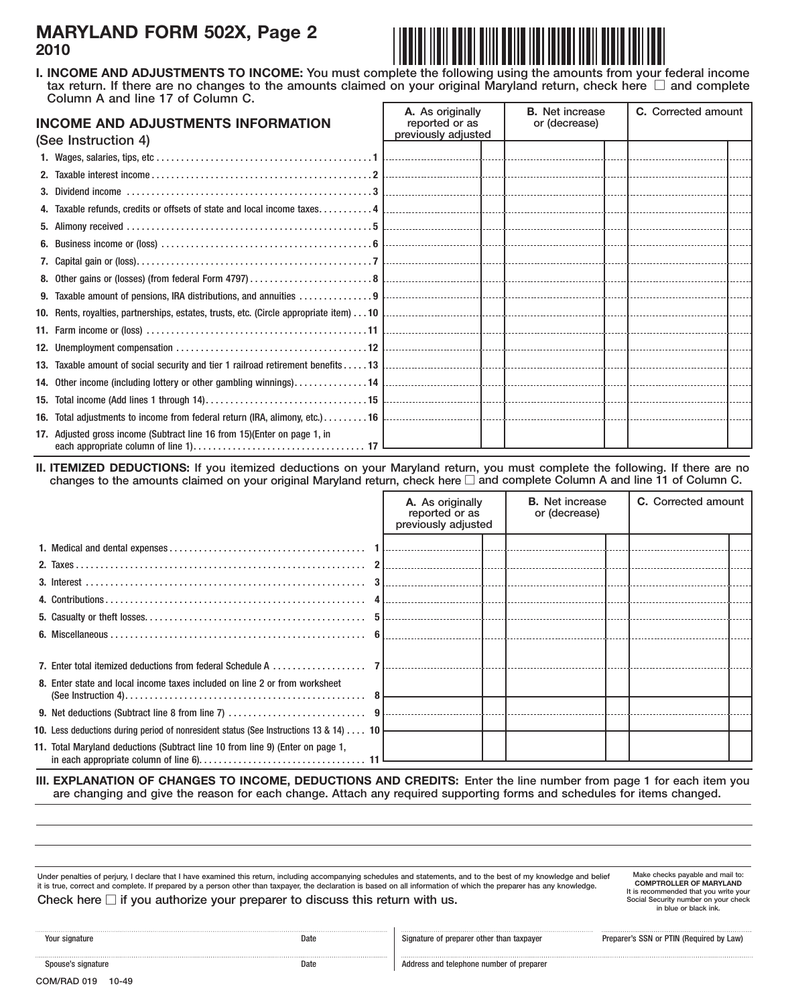### **MARYLAND FORM 502X, Page 2 2010**



 tax return. If there are no changes to the amounts claimed on your original Maryland return, check here  $\Box$  and complete **I. INCOME AND ADJUSTMENTS TO INCOME:** You must complete the following using the amounts from your federal income Column A and line 17 of Column C.

| <b>INCOME AND ADJUSTMENTS INFORMATION</b><br>(See Instruction 4) |                                                                           | A. As originally<br>reported or as<br>previously adjusted | <b>B.</b> Net increase<br>or (decrease) | C. Corrected amount |  |
|------------------------------------------------------------------|---------------------------------------------------------------------------|-----------------------------------------------------------|-----------------------------------------|---------------------|--|
|                                                                  |                                                                           |                                                           |                                         |                     |  |
|                                                                  |                                                                           |                                                           |                                         |                     |  |
|                                                                  |                                                                           |                                                           |                                         |                     |  |
|                                                                  |                                                                           |                                                           |                                         |                     |  |
|                                                                  |                                                                           |                                                           |                                         |                     |  |
|                                                                  |                                                                           |                                                           |                                         |                     |  |
|                                                                  |                                                                           |                                                           |                                         |                     |  |
|                                                                  |                                                                           |                                                           |                                         |                     |  |
|                                                                  |                                                                           |                                                           |                                         |                     |  |
|                                                                  |                                                                           |                                                           |                                         |                     |  |
|                                                                  |                                                                           |                                                           |                                         |                     |  |
|                                                                  |                                                                           |                                                           |                                         |                     |  |
|                                                                  |                                                                           |                                                           |                                         |                     |  |
|                                                                  |                                                                           |                                                           |                                         |                     |  |
|                                                                  |                                                                           |                                                           |                                         |                     |  |
|                                                                  |                                                                           |                                                           |                                         |                     |  |
|                                                                  |                                                                           |                                                           |                                         |                     |  |
|                                                                  | 17. Adjusted gross income (Subtract line 16 from 15) (Enter on page 1, in |                                                           |                                         |                     |  |

**II. ITEMIZED DEDUCTIONS:** If you itemized deductions on your Maryland return, you must complete the following. If there are no changes to the amounts claimed on your original Maryland return, check here  $\Box$  and complete Column A and line 11 of Column C.

|                                                                                          | A. As originally<br>reported or as<br>previously adjusted | <b>B.</b> Net increase<br>or (decrease) | <b>C.</b> Corrected amount |  |
|------------------------------------------------------------------------------------------|-----------------------------------------------------------|-----------------------------------------|----------------------------|--|
|                                                                                          |                                                           |                                         |                            |  |
|                                                                                          |                                                           |                                         |                            |  |
|                                                                                          |                                                           |                                         |                            |  |
|                                                                                          |                                                           |                                         |                            |  |
|                                                                                          |                                                           |                                         |                            |  |
|                                                                                          |                                                           |                                         |                            |  |
|                                                                                          |                                                           |                                         |                            |  |
|                                                                                          |                                                           |                                         |                            |  |
| 8. Enter state and local income taxes included on line 2 or from worksheet               |                                                           |                                         |                            |  |
|                                                                                          |                                                           |                                         |                            |  |
| 10. Less deductions during period of nonresident status (See Instructions 13 & 14)  10 L |                                                           |                                         |                            |  |
| 11. Total Maryland deductions (Subtract line 10 from line 9) (Enter on page 1,           |                                                           |                                         |                            |  |

**III. EXPLANATION OF CHANGES TO INCOME, DEDUCTIONS AND CREDITS:** Enter the line number from page 1 for each item you are changing and give the reason for each change. Attach any required supporting forms and schedules for items changed.

it is true, correct and complete. If prepared by a person other than taxpayer, the declaration is based on all information of which the preparer has any knowledge. Under penalties of perjury, I declare that I have examined this return, including accompanying schedules and statements, and to the best of my knowledge and belief

Check here  $\Box$  if you authorize your preparer to discuss this return with us.

**COMPTROLLER OF MARYLAND** Make checks payable and mail to: It is recommended that you write your<br>Social Security number on your check in blue or black ink.

| Your signature     | .<br>Date | <br>Signature of preparer    |  |  |
|--------------------|-----------|------------------------------|--|--|
| Spouse's signature | .<br>Date | <b>Address and telephone</b> |  |  |

other than taxpayer **Example 2** Preparer's SSN or PTIN (Required by Law)

e number of preparer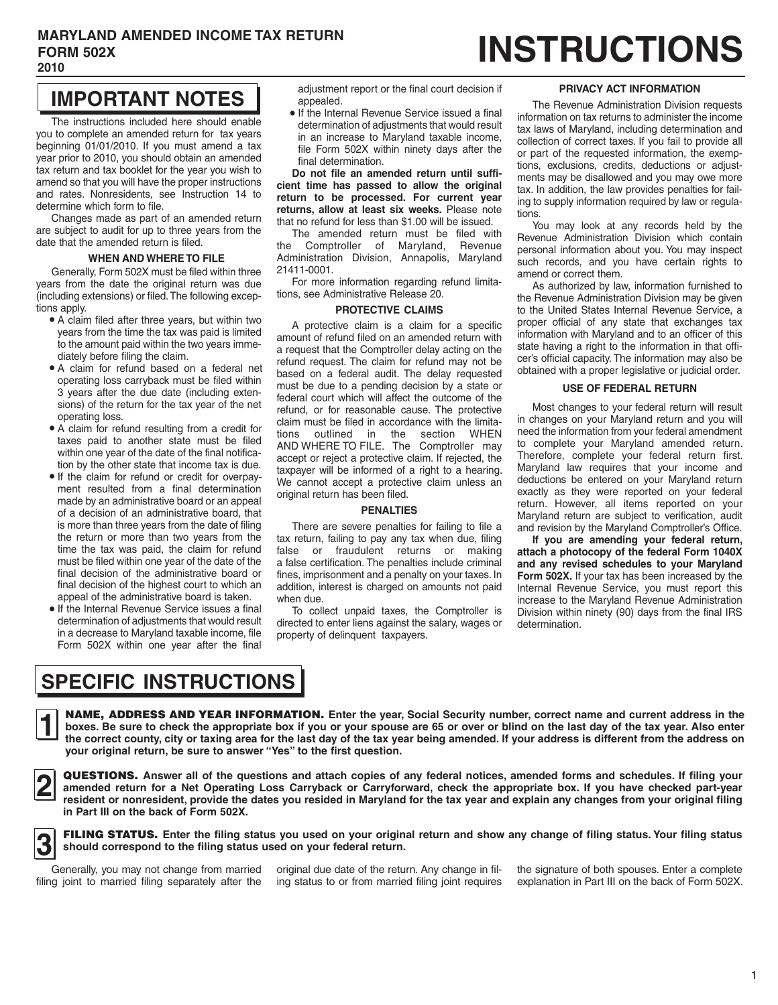#### **MARYLAND AMENDED INCOME TAX RETURN**  FORM 502X **EXAMPLE AX RETURN 2010**

## **IMPORTANT NOTES**

 $\int$ The instructions included here should enable you to complete an amended return for tax years beginning 01/01/2010. If you must amend a tax year prior to 2010, you should obtain an amended tax return and tax booklet for the year you wish to amend so that you will have the proper instructions and rates. Nonresidents, see Instruction 14 to determine which form to file.

Changes made as part of an amended return are subject to audit for up to three years from the date that the amended return is filed.

#### **WHEN AND WHERE TO FILE**

Generally, Form 502X must be filed within three years from the date the original return was due (including extensions) or filed.The following exceptions apply.

- • A claim filed after three years, but within two years from the time the tax was paid is limited to the amount paid within the two years immediately before filing the claim.
- • A claim for refund based on a federal net operating loss carryback must be filed within 3 years after the due date (including extensions) of the return for the tax year of the net operating loss.
- • A claim for refund resulting from a credit for taxes paid to another state must be filed within one year of the date of the final notification by the other state that income tax is due.
- • If the claim for refund or credit for overpay- ment resulted from a final determination made by an administrative board or an appeal of a decision of an administrative board, that is more than three years from the date of filing the return or more than two years from the time the tax was paid, the claim for refund must be filed within one year of the date of the final decision of the administrative board or final decision of the highest court to which an appeal of the administrative board is taken.
- • If the Internal Revenue Service issues a final determination of adjustments that would result in a decrease to Maryland taxable income, file Form 502X within one year after the final

adjustment report or the final court decision if appealed.

 • If the Internal Revenue Service issued a final determination of adjustments that would result in an increase to Maryland taxable income, file Form 502X within ninety days after the final determination.

**Do not file an amended return until sufficient time has passed to allow the original return to be processed. For current year returns, allow at least six weeks.** Please note that no refund for less than \$1.00 will be issued.

The amended return must be filed with the Comptroller of Maryland, Revenue Administration Division, Annapolis, Maryland 21411-0001.

For more information regarding refund limitations, see Administrative Release 20.

#### **PROTECTIVE CLAIMS**

 AND WHERE TO FILE. The Comptroller may A protective claim is a claim for a specific amount of refund filed on an amended return with a request that the Comptroller delay acting on the refund request. The claim for refund may not be based on a federal audit. The delay requested must be due to a pending decision by a state or federal court which will affect the outcome of the refund, or for reasonable cause. The protective claim must be filed in accordance with the limitations outlined in the section WHEN accept or reject a protective claim. If rejected, the taxpayer will be informed of a right to a hearing. We cannot accept a protective claim unless an original return has been filed.

#### **PENALTIES**

There are severe penalties for failing to file a tax return, failing to pay any tax when due, filing false or fraudulent returns or making a false certification. The penalties include criminal fines, imprisonment and a penalty on your taxes. In addition, interest is charged on amounts not paid when due.

 To collect unpaid taxes, the Comptroller is directed to enter liens against the salary, wages or property of delinquent taxpayers.

#### **PRIVACY ACT INFORMATION**

 The Revenue Administration Division requests information on tax returns to administer the income tax laws of Maryland, including determination and collection of correct taxes. If you fail to provide all or part of the requested information, the exemptions, exclusions, credits, deductions or adjustments may be disallowed and you may owe more tax. In addition, the law provides penalties for failing to supply information required by law or regulations.

You may look at any records held by the Revenue Administration Division which contain personal information about you. You may inspect such records, and you have certain rights to amend or correct them.

 cer's official capacity. The information may also be As authorized by law, information furnished to the Revenue Administration Division may be given to the United States Internal Revenue Service, a proper official of any state that exchanges tax information with Maryland and to an officer of this state having a right to the information in that offiobtained with a proper legislative or judicial order.

#### **USE OF FEDERAL RETURN**

Most changes to your federal return will result in changes on your Maryland return and you will need the information from your federal amendment to complete your Maryland amended return. Therefore, complete your federal return first. Maryland law requires that your income and deductions be entered on your Maryland return exactly as they were reported on your federal return. However, all items reported on your Maryland return are subject to verification, audit and revision by the Maryland Comptroller's Office.

**If you are amending your federal return, attach a photocopy of the federal Form 1040X and any revised schedules to your Maryland Form 502X.** If your tax has been increased by the Internal Revenue Service, you must report this increase to the Maryland Revenue Administration Division within ninety (90) days from the final IRS determination.

## **SPECIFIC INSTRUCTIONS**

NAME, ADDRESS AND YEAR INFORMATION. Enter the year, Social Security number, correct name and current address in the the correct county, city or taxing area for the last day of the tax yea **let be sure to answer "Yes"** to the first question. **NAME, ADDRESS AND YEAR INFORMATION.** Enter the year, Social Security number, correct name and current address in the boxes. Be sure to check the appropriate box if you or your spouse are 65 or over or blind on the last da **the correct county, city or taxing area for the last day of the tax year being amended. If your address is different from the address on** 



**ierry in Part III** on the back of Form 502X.<br> **in Part III** on the back of Form 502X. QUESTIONS. Answer all of the questions and attach copies of any federal notices, amended forms and schedules. If filing your<br>amended return for a Net Operating Loss Carryback or Carryforward, check the appropriate box. If **resident or nonresident, provide the dates you resided in Maryland for the tax year and explain any changes from your original filing** 

**3** FILING STATUS. Enter the filing status you used on your original return and show any change of filing status. Your filing status <br>Should correspond to the filing status used on your federal return. **should correspond to the filing status used on your federal return.** 

Generally, you may not change from married<br>filing joint to married filing separately after the

original due date of the return. Any change in fil-<br>the signature of both spouses. Enter a complete

ing status to or from married filing joint requires explanation in Part III on the back of Form 502X.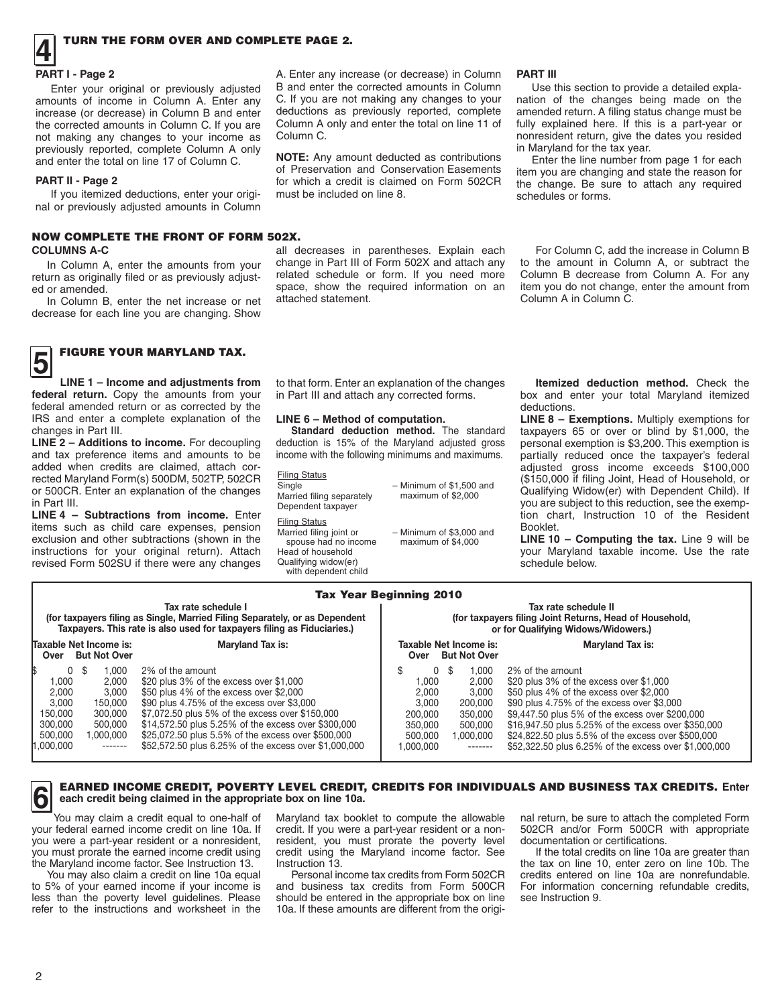# **1** TURN THE FORM OVER AND COMPLETE PAGE 2.

### □ **PART I - Page 2**

Enter your original or previously adjusted amounts of income in Column A. Enter any increase (or decrease) in Column B and enter the corrected amounts in Column C. If you are not making any changes to your income as previously reported, complete Column A only and enter the total on line 17 of Column C.

#### **PART II - Page 2**

If you itemized deductions, enter your original or previously adjusted amounts in Column

#### NOW COMPLETE THE FRONT OF FORM 502X. **COLUMNS A-C**

In Column A, enter the amounts from your return as originally filed or as previously adjusted or amended.

In Column B, enter the net increase or net decrease for each line you are changing. Show

A. Enter any increase (or decrease) in Column B and enter the corrected amounts in Column C. If you are not making any changes to your deductions as previously reported, complete Column A only and enter the total on line 11 of Column C.

**NOTE:** Any amount deducted as contributions of Preservation and Conservation Easements for which a credit is claimed on Form 502CR must be included on line 8.

all decreases in parentheses. Explain each change in Part III of Form 502X and attach any related schedule or form. If you need more space, show the required information on an attached statement.

#### **PART III**

Use this section to provide a detailed explanation of the changes being made on the amended return. A filing status change must be fully explained here. If this is a part-year or nonresident return, give the dates you resided in Maryland for the tax year.

Enter the line number from page 1 for each item you are changing and state the reason for the change. Be sure to attach any required schedules or forms.

For Column C, add the increase in Column B to the amount in Column A, or subtract the Column B decrease from Column A. For any item you do not change, enter the amount from Column A in Column C.

# **5** FIGURE YOUR MARYLAND TAX.

**EXECUTE:** LINE 1 – Income and adjustments from<br>federal return. Copy the amounts from your  **LINE 1 – Income and adjustments from**  federal amended return or as corrected by the IRS and enter a complete explanation of the changes in Part III.

**LINE 2 – Additions to income.** For decoupling and tax preference items and amounts to be added when credits are claimed, attach corrected Maryland Form(s) 500DM, 502TP, 502CR or 500CR. Enter an explanation of the changes in Part III.

**LINE 4 – Subtractions from income.** Enter items such as child care expenses, pension exclusion and other subtractions (shown in the instructions for your original return). Attach revised Form 502SU if there were any changes

to that form. Enter an explanation of the changes in Part III and attach any corrected forms.

#### **LINE 6 – Method of computation.**

Filing Status

Head of household Qualifying widow(er) with dependent child

 **Standard deduction method.** The standard deduction is 15% of the Maryland adjusted gross income with the following minimums and maximums.

Single – Minimum of \$1,500 and<br>Married filing separately – maximum of \$2,000 Married filing separately Dependent taxpayer

**Filing Status**<br>Married filing joint or – Minimum of \$3,000 and<br>maximum of \$4,000 spouse had no income

**Itemized deduction method.** Check the box and enter your total Maryland itemized deductions.

**LINE 8 – Exemptions.** Multiply exemptions for taxpayers 65 or over or blind by \$1,000, the personal exemption is \$3,200. This exemption is partially reduced once the taxpayer's federal adjusted gross income exceeds \$100,000 (\$150,000 if filing Joint, Head of Household, or Qualifying Widow(er) with Dependent Child). If you are subject to this reduction, see the exemption chart, Instruction 10 of the Resident Booklet.

**LINE 10 – Computing the tax.** Line 9 will be your Maryland taxable income. Use the rate .<br>schedule below.

|                                                                                                                                                                                |                                                                                                                                                                                                                                                                                                                                                                               | <b>Tax Year Beginning 2010</b>                                                                                                                                       |                                                                                                                                                                                                                                                                                                                                                                               |  |  |  |  |
|--------------------------------------------------------------------------------------------------------------------------------------------------------------------------------|-------------------------------------------------------------------------------------------------------------------------------------------------------------------------------------------------------------------------------------------------------------------------------------------------------------------------------------------------------------------------------|----------------------------------------------------------------------------------------------------------------------------------------------------------------------|-------------------------------------------------------------------------------------------------------------------------------------------------------------------------------------------------------------------------------------------------------------------------------------------------------------------------------------------------------------------------------|--|--|--|--|
|                                                                                                                                                                                | Tax rate schedule I                                                                                                                                                                                                                                                                                                                                                           | Tax rate schedule II                                                                                                                                                 |                                                                                                                                                                                                                                                                                                                                                                               |  |  |  |  |
|                                                                                                                                                                                | (for taxpayers filing as Single, Married Filing Separately, or as Dependent<br>Taxpayers. This rate is also used for taxpayers filing as Fiduciaries.)                                                                                                                                                                                                                        |                                                                                                                                                                      | (for taxpayers filing Joint Returns, Head of Household,<br>or for Qualifying Widows/Widowers.)                                                                                                                                                                                                                                                                                |  |  |  |  |
| Taxable Net Income is:<br><b>But Not Over</b><br>Over                                                                                                                          | <b>Maryland Tax is:</b>                                                                                                                                                                                                                                                                                                                                                       | Taxable Net Income is:<br><b>But Not Over</b><br>Over                                                                                                                | <b>Maryland Tax is:</b>                                                                                                                                                                                                                                                                                                                                                       |  |  |  |  |
| 0<br>1,000<br>- \$<br>1.000<br>2,000<br>2.000<br>3,000<br>3,000<br>150,000<br>150,000<br>300,000<br>300,000<br>500,000<br>500,000<br>1.000.000<br>1,000,000<br>$- - - - - - -$ | 2% of the amount<br>\$20 plus 3% of the excess over \$1,000<br>\$50 plus 4% of the excess over \$2,000<br>\$90 plus 4.75% of the excess over \$3,000<br>\$7,072.50 plus 5% of the excess over \$150,000<br>\$14,572.50 plus 5.25% of the excess over \$300,000<br>\$25,072.50 plus 5.5% of the excess over \$500,000<br>\$52,572.50 plus 6.25% of the excess over \$1,000,000 | S<br>0S<br>1,000<br>1.000<br>2.000<br>2.000<br>3.000<br>3.000<br>200,000<br>200.000<br>350.000<br>350,000<br>500.000<br>500,000<br>1,000,000<br>1.000.000<br>------- | 2% of the amount<br>\$20 plus 3% of the excess over \$1,000<br>\$50 plus 4% of the excess over \$2,000<br>\$90 plus 4.75% of the excess over \$3,000<br>\$9,447.50 plus 5% of the excess over \$200,000<br>\$16,947.50 plus 5.25% of the excess over \$350,000<br>\$24,822.50 plus 5.5% of the excess over \$500,000<br>\$52,322.50 plus 6.25% of the excess over \$1,000,000 |  |  |  |  |

#### **6** EARNED INCOME CREDIT, POVERTY LEVEL CREDIT, CREDITS FOR INDIVIDUALS AND BUSINESS TAX CREDITS. Enter each credit being claimed in the appropriate box on line 10a. **each credit being claimed in the appropriate box on line 10a.**

You may claim a credit equal to one-half of<br>your federal earned income credit on line 10a. If your federal earned income credit on line 10a. If credit. If you were a part-year resident or a non-<br>you were a part-year resident or a nonresident, resident, you must prorate the poverty level documentation or certificati you must prorate the earned income credit using credit using the Maryland income factor. See Instruction 13. Instruction 13.

less than the poverty level guidelines. Please<br>refer to the instructions and worksheet in the

resident, you must prorate the poverty level documentation or certifications.<br>credit using the Maryland income factor. See If the total credits on line 10a are greater than

should be entered in the appropriate box on line 10a. If these amounts are different from the origi-

Maryland tax booklet to compute the allowable nal return, be sure to attach the completed Form credit. If you were a part-year resident or a non-<br>502CR and/or Form 500CR with appropriate

 the Maryland income factor. See Instruction 13. Instruction 13. the tax on line 10, enter zero on line 10b. The You may also claim a credit on line 10a equal Personal income tax credits from Form 502CR credits entered on line 10a are nonrefundable.<br>to 5% of your earned income if your income is and business tax credits from Form 500C For information concerning refundable credits, see Instruction 9.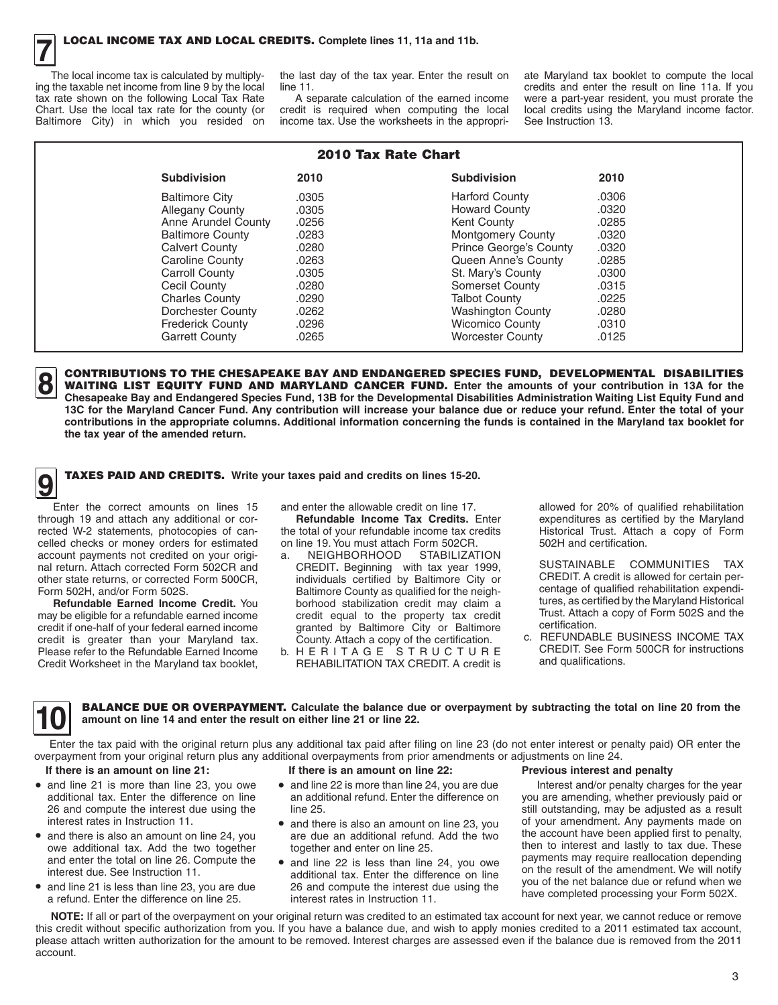The local income tax is calculated by multiply-<br>ing the taxable net income from line 9 by the local ing the taxable net income from line 9 by the local line 11. credits and enter the result on line 11a. If you<br>tax rate shown on the following Local Tax Rate A separate calculation of the earned income were a part-year resi tax rate shown on the following Local Tax Rate A separate calculation of the earned income were a part-year resident, you must prorate the Chart. Use the local tax rate for the county (or credit is required when computing Chart. Use the local tax rate for the county (or credit is required when computing the local local credits using the Maryland income factor.<br>Baltimore City) in which you resided on income tax. Use the worksheets in the app

income tax. Use the worksheets in the appropri-

the last day of the tax year. Enter the result on ate Maryland tax booklet to compute the local<br>line 11. If you

| 2010 Tax Rate Chart     |       |                               |       |  |  |  |  |
|-------------------------|-------|-------------------------------|-------|--|--|--|--|
| <b>Subdivision</b>      | 2010  | <b>Subdivision</b>            | 2010  |  |  |  |  |
| <b>Baltimore City</b>   | .0305 | <b>Harford County</b>         | .0306 |  |  |  |  |
| <b>Allegany County</b>  | .0305 | <b>Howard County</b>          | .0320 |  |  |  |  |
| Anne Arundel County     | .0256 | Kent County                   | .0285 |  |  |  |  |
| <b>Baltimore County</b> | .0283 | <b>Montgomery County</b>      | .0320 |  |  |  |  |
| <b>Calvert County</b>   | .0280 | <b>Prince George's County</b> | .0320 |  |  |  |  |
| Caroline County         | .0263 | Queen Anne's County           | .0285 |  |  |  |  |
| <b>Carroll County</b>   | .0305 | St. Mary's County             | .0300 |  |  |  |  |
| Cecil County            | .0280 | Somerset County               | .0315 |  |  |  |  |
| <b>Charles County</b>   | .0290 | <b>Talbot County</b>          | .0225 |  |  |  |  |
| Dorchester County       | .0262 | <b>Washington County</b>      | .0280 |  |  |  |  |
| <b>Frederick County</b> | .0296 | <b>Wicomico County</b>        | .0310 |  |  |  |  |
| <b>Garrett County</b>   | .0265 | <b>Worcester County</b>       | .0125 |  |  |  |  |

**CONTRIBUTIONS TO THE CHESAPEAKE BAY AND ENDANGERED SPECIES FUND. DEVELOPMENTAL DISABILITIES** Chesapeake Bay and Endangered Species Fund, 13B for the Developmental Disabilities Administration Waiting List Equity Fund and كالصبا<br>13C for the Maryland Cancer Fund. Any contribution will increase your balance due or r **8 CONTRIBUTIONS TO THE CHESAPEAKE BAY AND ENDANGERED SPECIES FUND, DEVELOPMENTAL DISABILITIES**<br>WAITING LIST EQUITY FUND AND MARYLAND CANCER FUND. Enter the amounts of your contribution in 13A for the<br>Chesapeake Bay and En **Chesapeake Bay and Endangered Species Fund, 13B for the Developmental Disabilities Administration Waiting List Equity Fund and contributions in the appropriate columns. Additional information concerning the funds is contained in the Maryland tax booklet for the tax year of the amended return.** 

**9** TAXES PAID AND CREDITS. Write your taxes paid and credits on lines 15-20.

□ Enter the correct amounts on lines 15 through 19 and attach any additional or corrected W-2 statements, photocopies of cancelled checks or money orders for estimated account payments not credited on your original return. Attach corrected Form 502CR and other state returns, or corrected Form 500CR, Form 502H, and/or Form 502S.

**Refundable Earned Income Credit.** You may be eligible for a refundable earned income credit if one-half of your federal earned income credit is greater than your Maryland tax. Please refer to the Refundable Earned Income Credit Worksheet in the Maryland tax booklet, and enter the allowable credit on line 17.

**Refundable Income Tax Credits.** Enter the total of your refundable income tax credits on line 19. You must attach Form 502CR.

- credit equal to the property tax credit a. NEIGHBORHOOD STABILIZATION CREDIT**.** Beginning with tax year 1999, individuals certified by Baltimore City or Baltimore County as qualified for the neighborhood stabilization credit may claim a granted by Baltimore City or Baltimore County. Attach a copy of the certification.
- b. H E R I T A G E S T R U C T U R E REHABILITATION TAX CREDIT. A credit is

allowed for 20% of qualified rehabilitation expenditures as certified by the Maryland Historical Trust. Attach a copy of Form 502H and certification.

SUSTAINABLE COMMUNITIES TAX CREDIT. A credit is allowed for certain percentage of qualified rehabilitation expenditures, as certified by the Maryland Historical Trust. Attach a copy of Form 502S and the certification.

c. REFUNDABLE BUSINESS INCOME TAX CREDIT. See Form 500CR for instructions and qualifications.

**10 BALANCE DUE OR OVERPAYMENT.** Calculate the balance due or overpayment by subtracting the total on line 20 from the amount on line 14 and enter the result on either line 21 or line 22. **amount on line 14 and enter the result on either line 21 or line 22.** 

ENTERT AND A SERVIEW THE THE TAND AND ENTERT INC. THE POSITION INC. THE PAID OF THE PAID OF THE PAID OF THE PAID OF THE PAID OF THE PAID OF THE PAID OF THE PAID OF THE PAID OF THE PAID OF THE PAID OF THE PAID OF THE PAID O overpayment from your original return plus any additional overpayments from prior amendments or adjustments on line 24.

#### **If there is an amount on line 21:**

- • and line 21 is more than line 23, you owe additional tax. Enter the difference on line 26 and compute the interest due using the interest rates in Instruction 11.
- • and there is also an amount on line 24, you owe additional tax. Add the two together and enter the total on line 26. Compute the interest due. See Instruction 11.
- • and line 21 is less than line 23, you are due a refund. Enter the difference on line 25.
- • and line 22 is more than line 24, you are due an additional refund. Enter the difference on line 25.

**If there is an amount on line 22:** 

- • and there is also an amount on line 23, you are due an additional refund. Add the two together and enter on line 25.
- • and line 22 is less than line 24, you owe additional tax. Enter the difference on line 26 and compute the interest due using the interest rates in Instruction 11.

#### **Previous interest and penalty**

Interest and/or penalty charges for the year you are amending, whether previously paid or still outstanding, may be adjusted as a result of your amendment. Any payments made on the account have been applied first to penalty, then to interest and lastly to tax due. These payments may require reallocation depending on the result of the amendment. We will notify you of the net balance due or refund when we have completed processing your Form 502X.

NOTE: If all or part of the overpayment on your original return was credited to an estimated tax account for next year, we cannot reduce or remove this credit without specific authorization from you. If you have a balance due, and wish to apply monies credited to a 2011 estimated tax account, please attach written authorization for the amount to be removed. Interest charges are assessed even if the balance due is removed from the 2011 account.